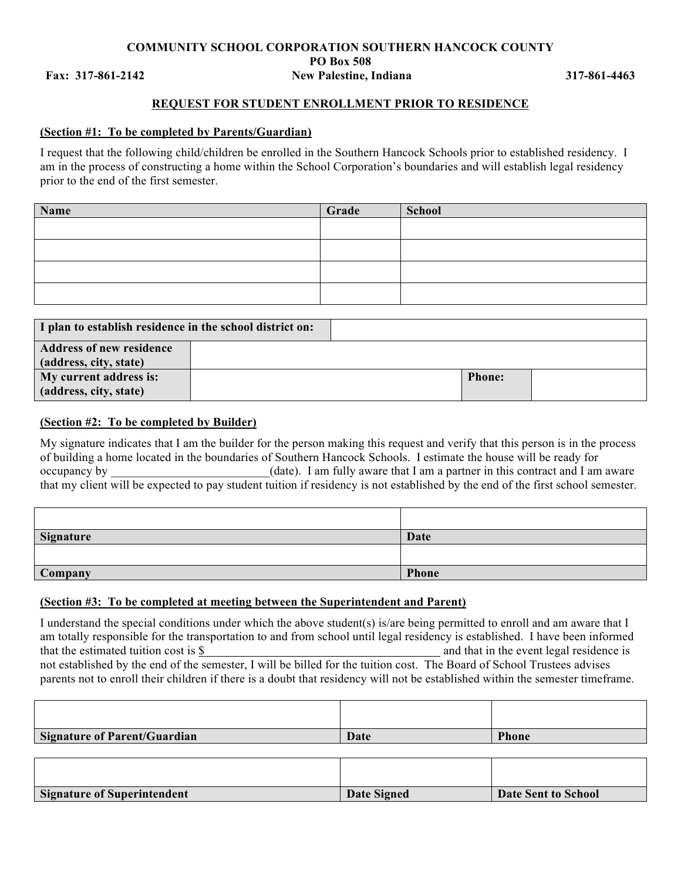#### **COMMUNITY SCHOOL CORPORATION SOUTHERN HANCOCK COUNTY PO Box 508 Fax: 317-861-2142 New Palestine, Indiana 317-861-4463**

## **REQUEST FOR STUDENT ENROLLMENT PRIOR TO RESIDENCE**

#### **(Section #1: To be completed by Parents/Guardian)**

I request that the following child/children be enrolled in the Southern Hancock Schools prior to established residency. I am in the process of constructing a home within the School Corporation's boundaries and will establish legal residency prior to the end of the first semester.

| Name | Grade | School |
|------|-------|--------|
|      |       |        |
|      |       |        |
|      |       |        |
|      |       |        |

| I plan to establish residence in the school district on: |  |               |  |
|----------------------------------------------------------|--|---------------|--|
| <b>Address of new residence</b>                          |  |               |  |
| (address, city, state)                                   |  |               |  |
| My current address is:                                   |  | <b>Phone:</b> |  |
| (address, city, state)                                   |  |               |  |

# **(Section #2: To be completed by Builder)**

My signature indicates that I am the builder for the person making this request and verify that this person is in the process of building a home located in the boundaries of Southern Hancock Schools. I estimate the house will be ready for occupancy by  $\qquad \qquad$  (date). I am fully aware that I am a partner in this contract and I am aware that my client will be expected to pay student tuition if residency is not established by the end of the first school semester.

| Signature | Date  |
|-----------|-------|
|           |       |
| Company   | Phone |

## **(Section #3: To be completed at meeting between the Superintendent and Parent)**

I understand the special conditions under which the above student(s) is/are being permitted to enroll and am aware that I am totally responsible for the transportation to and from school until legal residency is established. I have been informed that the estimated tuition cost is \$ and that in the event legal residence is not established by the end of the semester, I will be billed for the tuition cost. The Board of School Trustees advises parents not to enroll their children if there is a doubt that residency will not be established within the semester timeframe.

| Signature of Parent/Guardian       | Date        | <b>Phone</b>               |
|------------------------------------|-------------|----------------------------|
|                                    |             |                            |
|                                    |             |                            |
|                                    |             |                            |
| <b>Signature of Superintendent</b> | Date Signed | <b>Date Sent to School</b> |